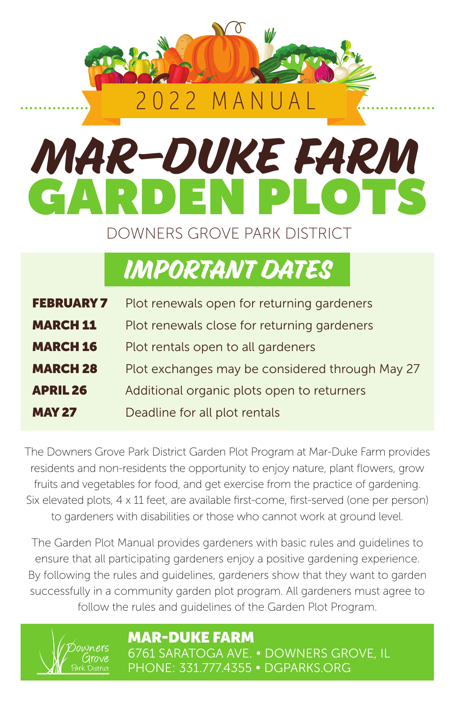

# Mar-Duke Farm GARDEN PLOTS

DOWNERS GROVE PARK DISTRICT

## Important Dates

| <b>FEBRUARY 7</b> | Plot renewals open for returning gardeners      |
|-------------------|-------------------------------------------------|
| <b>MARCH 11</b>   | Plot renewals close for returning gardeners     |
| <b>MARCH 16</b>   | Plot rentals open to all gardeners              |
| <b>MARCH 28</b>   | Plot exchanges may be considered through May 27 |
| <b>APRIL 26</b>   | Additional organic plots open to returners      |
| <b>MAY 27</b>     | Deadline for all plot rentals                   |

The Downers Grove Park District Garden Plot Program at Mar-Duke Farm provides residents and non-residents the opportunity to enjoy nature, plant flowers, grow fruits and vegetables for food, and get exercise from the practice of gardening. Six elevated plots, 4 x 11 feet, are available first-come, first-served (one per person) to gardeners with disabilities or those who cannot work at ground level.

The Garden Plot Manual provides gardeners with basic rules and guidelines to ensure that all participating gardeners enjoy a positive gardening experience. By following the rules and guidelines, gardeners show that they want to garden successfully in a community garden plot program. All gardeners must agree to follow the rules and guidelines of the Garden Plot Program.



MAR-DUKE FARM 6761 SARATOGA AVE. • DOWNERS GROVE, IL PHONE: 331.777.4355 • DGPARKS.ORG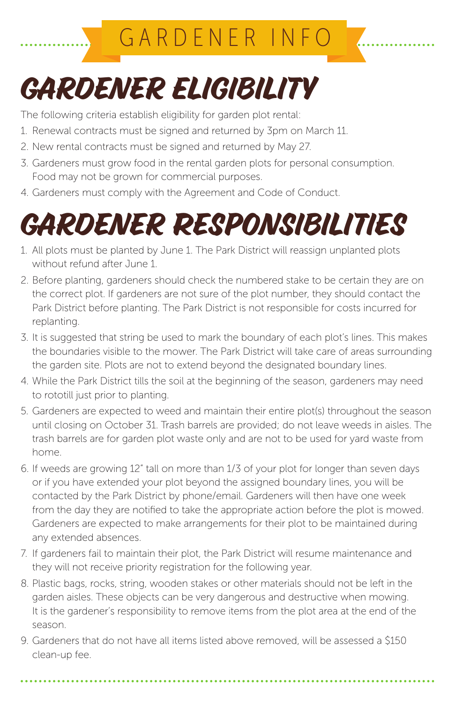### GARDENER INF

# Gardener Eligibility

The following criteria establish eligibility for garden plot rental:

- 1. Renewal contracts must be signed and returned by 3pm on March 11.
- 2. New rental contracts must be signed and returned by May 27.
- 3. Gardeners must grow food in the rental garden plots for personal consumption. Food may not be grown for commercial purposes.
- 4. Gardeners must comply with the Agreement and Code of Conduct.

# Gardener Responsibilities

- 1. All plots must be planted by June 1. The Park District will reassign unplanted plots without refund after June 1.
- 2. Before planting, gardeners should check the numbered stake to be certain they are on the correct plot. If gardeners are not sure of the plot number, they should contact the Park District before planting. The Park District is not responsible for costs incurred for replanting.
- 3. It is suggested that string be used to mark the boundary of each plot's lines. This makes the boundaries visible to the mower. The Park District will take care of areas surrounding the garden site. Plots are not to extend beyond the designated boundary lines.
- 4. While the Park District tills the soil at the beginning of the season, gardeners may need to rototill just prior to planting.
- 5. Gardeners are expected to weed and maintain their entire plot(s) throughout the season until closing on October 31. Trash barrels are provided; do not leave weeds in aisles. The trash barrels are for garden plot waste only and are not to be used for yard waste from home.
- 6. If weeds are growing 12" tall on more than 1/3 of your plot for longer than seven days or if you have extended your plot beyond the assigned boundary lines, you will be contacted by the Park District by phone/email. Gardeners will then have one week from the day they are notified to take the appropriate action before the plot is mowed. Gardeners are expected to make arrangements for their plot to be maintained during any extended absences.
- 7. If gardeners fail to maintain their plot, the Park District will resume maintenance and they will not receive priority registration for the following year.
- 8. Plastic bags, rocks, string, wooden stakes or other materials should not be left in the garden aisles. These objects can be very dangerous and destructive when mowing. It is the gardener's responsibility to remove items from the plot area at the end of the season.
- 9. Gardeners that do not have all items listed above removed, will be assessed a \$150 clean-up fee.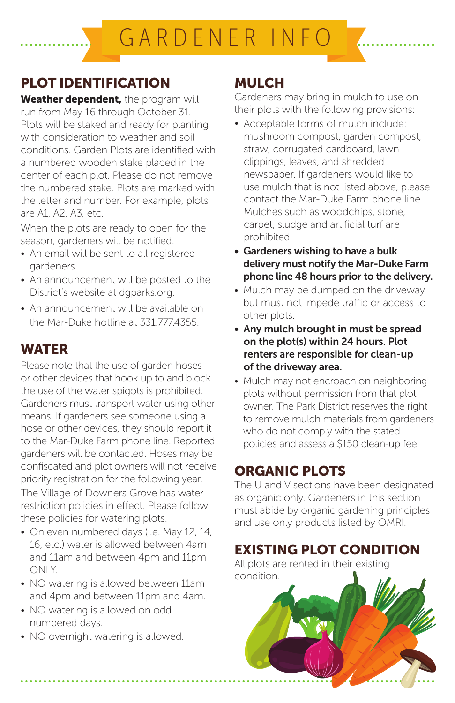### GARDENER INF

#### PLOT IDENTIFICATION

Weather dependent, the program will run from May 16 through October 31. Plots will be staked and ready for planting with consideration to weather and soil conditions. Garden Plots are identified with a numbered wooden stake placed in the center of each plot. Please do not remove the numbered stake. Plots are marked with the letter and number. For example, plots are A1, A2, A3, etc.

When the plots are ready to open for the season, gardeners will be notified.

- An email will be sent to all registered gardeners.
- An announcement will be posted to the District's website at dgparks.org.
- An announcement will be available on the Mar-Duke hotline at 331.7774355

#### WATER

Please note that the use of garden hoses or other devices that hook up to and block the use of the water spigots is prohibited. Gardeners must transport water using other means. If gardeners see someone using a hose or other devices, they should report it to the Mar-Duke Farm phone line. Reported gardeners will be contacted. Hoses may be confiscated and plot owners will not receive priority registration for the following year. The Village of Downers Grove has water restriction policies in effect. Please follow these policies for watering plots.

- On even numbered days (i.e. May 12, 14, 16, etc.) water is allowed between 4am and 11am and between 4pm and 11pm ONLY.
- NO watering is allowed between 11am and 4pm and between 11pm and 4am.
- NO watering is allowed on odd numbered days.
- NO overnight watering is allowed.

#### **MULCH**

Gardeners may bring in mulch to use on their plots with the following provisions:

- Acceptable forms of mulch include: mushroom compost, garden compost, straw, corrugated cardboard, lawn clippings, leaves, and shredded newspaper. If gardeners would like to use mulch that is not listed above, please contact the Mar-Duke Farm phone line. Mulches such as woodchips, stone, carpet, sludge and artificial turf are prohibited.
- Gardeners wishing to have a bulk delivery must notify the Mar-Duke Farm phone line 48 hours prior to the delivery.
- Mulch may be dumped on the driveway but must not impede traffic or access to other plots.
- Any mulch brought in must be spread on the plot(s) within 24 hours. Plot renters are responsible for clean-up of the driveway area.
- Mulch may not encroach on neighboring plots without permission from that plot owner. The Park District reserves the right to remove mulch materials from gardeners who do not comply with the stated policies and assess a \$150 clean-up fee.

#### ORGANIC PLOTS

The U and V sections have been designated as organic only. Gardeners in this section must abide by organic gardening principles and use only products listed by OMRI.

#### EXISTING PLOT CONDITION

All plots are rented in their existing condition.